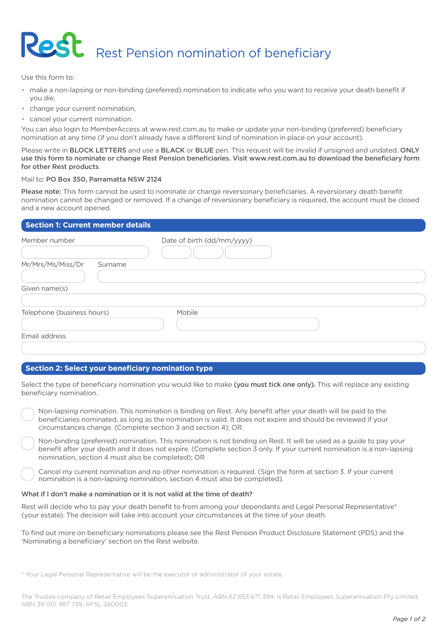# **Rest** Rest Pension nomination of beneficiary

Use this form to:

- make a non-lapsing or non-binding (preferred) nomination to indicate who you want to receive your death benefit if you die,
- change your current nomination,
- cancel your current nomination.

You can also login to MemberAccess at www.rest.com.au to make or update your non-binding (preferred) beneficiary nomination at any time (if you don't already have a different kind of nomination in place on your account).

Please write in BLOCK LETTERS and use a BLACK or BLUE pen. This request will be invalid if unsigned and undated. ONLY use this form to nominate or change Rest Pension beneficiaries. Visit www.rest.com.au to download the beneficiary form for other Rest products.

## Mail to: PO Box 350, Parramatta NSW 2124

Please note: This form cannot be used to nominate or change reversionary beneficiaries. A reversionary death benefit nomination cannot be changed or removed. If a change of reversionary beneficiary is required, the account must be closed and a new account opened.

## **Section 1: Current member details**

| Member number                | Date of birth (dd/mm/yyyy) |  |
|------------------------------|----------------------------|--|
| Mr/Mrs/Ms/Miss/Dr<br>Surname |                            |  |
|                              |                            |  |
| Given name(s)                |                            |  |
|                              |                            |  |
| Telephone (business hours)   | Mobile                     |  |
|                              |                            |  |
| Email address                |                            |  |
|                              |                            |  |

### **Section 2: Select your beneficiary nomination type**

Select the type of beneficiary nomination you would like to make (you must tick one only). This will replace any existing beneficiary nomination.

Non-lapsing nomination. This nomination is binding on Rest. Any benefit after your death will be paid to the beneficiaries nominated, as long as the nomination is valid. It does not expire and should be reviewed if your circumstances change. (Complete section 3 and section 4); OR

Non-binding (preferred) nomination. This nomination is not binding on Rest. It will be used as a guide to pay your benefit after your death and it does not expire. (Complete section 3 only. If your current nomination is a non-lapsing nomination, section 4 must also be completed); OR

Cancel my current nomination and no other nomination is required. (Sign the form at section 3. If your current nomination is a non-lapsing nomination, section 4 must also be completed).

### What if I don't make a nomination or it is not valid at the time of death?

Rest will decide who to pay your death benefit to from among your dependants and Legal Personal Representative\* (your estate). The decision will take into account your circumstances at the time of your death.

To find out more on beneficiary nominations please see the Rest Pension Product Disclosure Statement (PDS) and the 'Nominating a beneficiary' section on the Rest website.

\* Your Legal Personal Representative will be the executor or administrator of your estate.

The Trustee company of Retail Employees Superannuation Trust, ABN 62 653 671 394, is Retail Employees Superannuation Pty Limited, ABN 39 001 987 739, AFSL 240003.